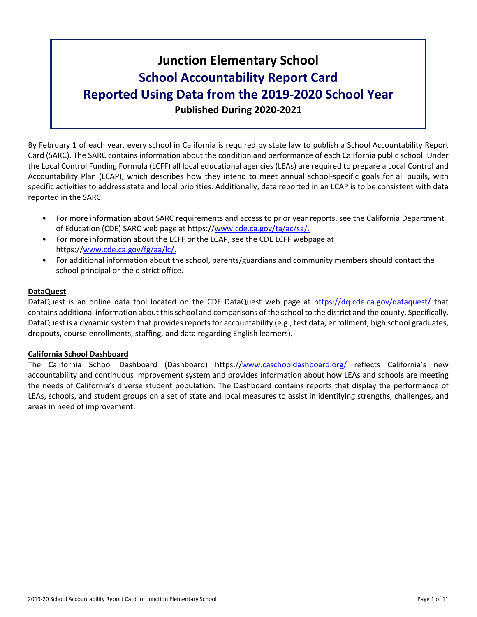# **Junction Elementary School School Accountability Report Card Reported Using Data from the 2019-2020 School Year Published During 2020-2021**

By February 1 of each year, every school in California is required by state law to publish a School Accountability Report Card (SARC). The SARC contains information about the condition and performance of each California public school. Under the Local Control Funding Formula (LCFF) all local educational agencies (LEAs) are required to prepare a Local Control and Accountability Plan (LCAP), which describes how they intend to meet annual school-specific goals for all pupils, with specific activities to address state and local priorities. Additionally, data reported in an LCAP is to be consistent with data reported in the SARC.

- For more information about SARC requirements and access to prior year reports, see the California Department of Education (CDE) SARC web page at https://[www.cde.ca.gov/ta/ac/sa/.](https://www.cde.ca.gov/ta/ac/sa/)
- For more information about the LCFF or the LCAP, see the CDE LCFF webpage at https://[www.cde.ca.gov/fg/aa/lc/.](https://www.cde.ca.gov/fg/aa/lc/)
- For additional information about the school, parents/guardians and community members should contact the school principal or the district office.

## **DataQuest**

DataQuest is an online data tool located on the CDE DataQuest web page at <https://dq.cde.ca.gov/dataquest/> that contains additional information about thisschool and comparisons of the school to the district and the county. Specifically, DataQuest is a dynamic system that provides reports for accountability (e.g., test data, enrollment, high school graduates, dropouts, course enrollments, staffing, and data regarding English learners).

## **California School Dashboard**

The California School Dashboard (Dashboard) https://[www.caschooldashboard.org/](https://www.caschooldashboard.org/) reflects California's new accountability and continuous improvement system and provides information about how LEAs and schools are meeting the needs of California's diverse student population. The Dashboard contains reports that display the performance of LEAs, schools, and student groups on a set of state and local measures to assist in identifying strengths, challenges, and areas in need of improvement.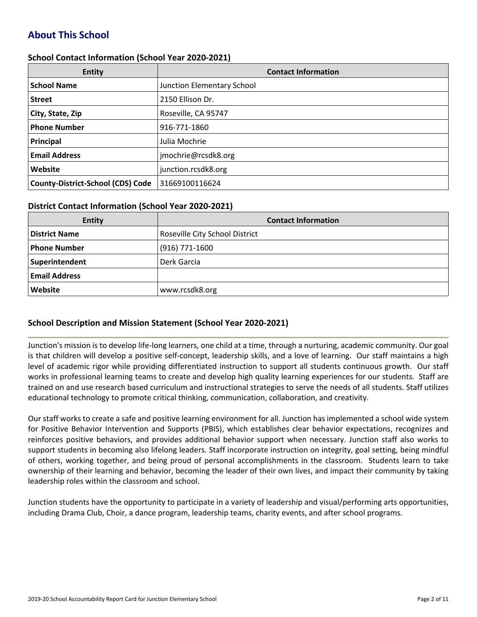# **About This School**

## **School Contact Information (School Year 2020-2021)**

| <b>Entity</b>                            | <b>Contact Information</b> |
|------------------------------------------|----------------------------|
| <b>School Name</b>                       | Junction Elementary School |
| <b>Street</b>                            | 2150 Ellison Dr.           |
| City, State, Zip                         | Roseville, CA 95747        |
| <b>Phone Number</b>                      | 916-771-1860               |
| Principal                                | Julia Mochrie              |
| <b>Email Address</b>                     | jmochrie@rcsdk8.org        |
| Website                                  | junction.rcsdk8.org        |
| <b>County-District-School (CDS) Code</b> | 31669100116624             |

## **District Contact Information (School Year 2020-2021)**

| <b>Entity</b>        | <b>Contact Information</b>     |
|----------------------|--------------------------------|
| <b>District Name</b> | Roseville City School District |
| <b>Phone Number</b>  | $(916)$ 771-1600               |
| Superintendent       | Derk Garcia                    |
| <b>Email Address</b> |                                |
| Website              | www.rcsdk8.org                 |

## **School Description and Mission Statement (School Year 2020-2021)**

Junction's mission is to develop life-long learners, one child at a time, through a nurturing, academic community. Our goal is that children will develop a positive self-concept, leadership skills, and a love of learning. Our staff maintains a high level of academic rigor while providing differentiated instruction to support all students continuous growth. Our staff works in professional learning teams to create and develop high quality learning experiences for our students. Staff are trained on and use research based curriculum and instructional strategies to serve the needs of all students. Staff utilizes educational technology to promote critical thinking, communication, collaboration, and creativity.

Our staff works to create a safe and positive learning environment for all. Junction has implemented a school wide system for Positive Behavior Intervention and Supports (PBIS), which establishes clear behavior expectations, recognizes and reinforces positive behaviors, and provides additional behavior support when necessary. Junction staff also works to support students in becoming also lifelong leaders. Staff incorporate instruction on integrity, goal setting, being mindful of others, working together, and being proud of personal accomplishments in the classroom. Students learn to take ownership of their learning and behavior, becoming the leader of their own lives, and impact their community by taking leadership roles within the classroom and school.

Junction students have the opportunity to participate in a variety of leadership and visual/performing arts opportunities, including Drama Club, Choir, a dance program, leadership teams, charity events, and after school programs.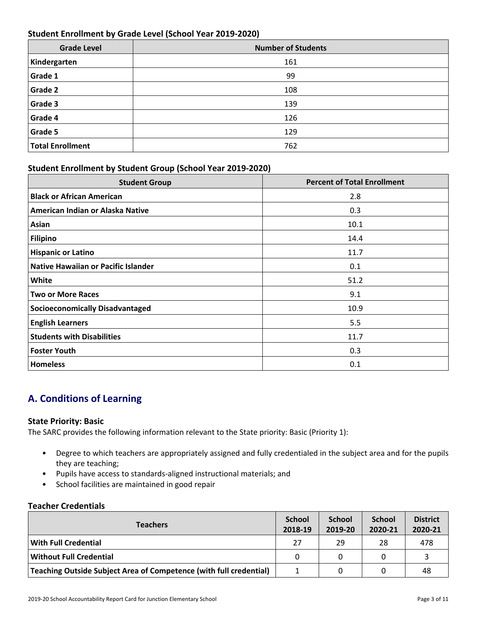## **Student Enrollment by Grade Level (School Year 2019-2020)**

| <b>Grade Level</b>      | <b>Number of Students</b> |
|-------------------------|---------------------------|
| Kindergarten            | 161                       |
| Grade 1                 | 99                        |
| <b>Grade 2</b>          | 108                       |
| Grade 3                 | 139                       |
| Grade 4                 | 126                       |
| Grade 5                 | 129                       |
| <b>Total Enrollment</b> | 762                       |

## **Student Enrollment by Student Group (School Year 2019-2020)**

| <b>Student Group</b>                   | <b>Percent of Total Enrollment</b> |
|----------------------------------------|------------------------------------|
| <b>Black or African American</b>       | 2.8                                |
| American Indian or Alaska Native       | 0.3                                |
| Asian                                  | 10.1                               |
| Filipino                               | 14.4                               |
| <b>Hispanic or Latino</b>              | 11.7                               |
| Native Hawaiian or Pacific Islander    | 0.1                                |
| White                                  | 51.2                               |
| <b>Two or More Races</b>               | 9.1                                |
| <b>Socioeconomically Disadvantaged</b> | 10.9                               |
| <b>English Learners</b>                | 5.5                                |
| <b>Students with Disabilities</b>      | 11.7                               |
| <b>Foster Youth</b>                    | 0.3                                |
| <b>Homeless</b>                        | 0.1                                |

# **A. Conditions of Learning**

## **State Priority: Basic**

The SARC provides the following information relevant to the State priority: Basic (Priority 1):

- Degree to which teachers are appropriately assigned and fully credentialed in the subject area and for the pupils they are teaching;
- Pupils have access to standards-aligned instructional materials; and
- School facilities are maintained in good repair

## **Teacher Credentials**

| <b>Teachers</b>                                                    |          | <b>School</b><br>2019-20 | <b>School</b><br>2020-21 | <b>District</b><br>2020-21 |
|--------------------------------------------------------------------|----------|--------------------------|--------------------------|----------------------------|
| With Full Credential                                               | 27       | 29                       | 28                       | 478                        |
| <b>Without Full Credential</b>                                     | $\Omega$ |                          |                          |                            |
| Teaching Outside Subject Area of Competence (with full credential) |          |                          |                          | 48                         |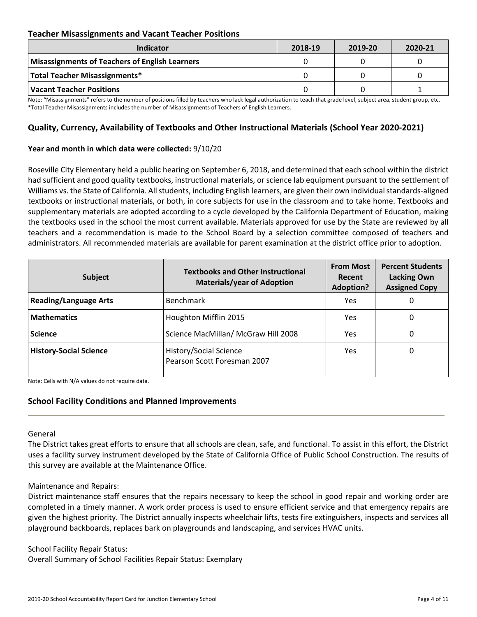## **Teacher Misassignments and Vacant Teacher Positions**

| <b>Indicator</b>                               | 2018-19 | 2019-20 | 2020-21 |
|------------------------------------------------|---------|---------|---------|
| Misassignments of Teachers of English Learners |         |         |         |
| Total Teacher Misassignments*                  |         |         |         |
| Vacant Teacher Positions                       |         |         |         |

Note: "Misassignments" refers to the number of positions filled by teachers who lack legal authorization to teach that grade level, subject area, student group, etc. \*Total Teacher Misassignments includes the number of Misassignments of Teachers of English Learners.

## **Quality, Currency, Availability of Textbooks and Other Instructional Materials (School Year 2020-2021)**

#### **Year and month in which data were collected:** 9/10/20

Roseville City Elementary held a public hearing on September 6, 2018, and determined that each school within the district had sufficient and good quality textbooks, instructional materials, or science lab equipment pursuant to the settlement of Williams vs. the State of California. All students, including English learners, are given their own individual standards-aligned textbooks or instructional materials, or both, in core subjects for use in the classroom and to take home. Textbooks and supplementary materials are adopted according to a cycle developed by the California Department of Education, making the textbooks used in the school the most current available. Materials approved for use by the State are reviewed by all teachers and a recommendation is made to the School Board by a selection committee composed of teachers and administrators. All recommended materials are available for parent examination at the district office prior to adoption.

| <b>Subject</b>                | <b>Textbooks and Other Instructional</b><br><b>Materials/year of Adoption</b> | <b>From Most</b><br>Recent<br><b>Adoption?</b> | <b>Percent Students</b><br><b>Lacking Own</b><br><b>Assigned Copy</b> |
|-------------------------------|-------------------------------------------------------------------------------|------------------------------------------------|-----------------------------------------------------------------------|
| <b>Reading/Language Arts</b>  | <b>Benchmark</b>                                                              | Yes                                            | O                                                                     |
| <b>Mathematics</b>            | Houghton Mifflin 2015                                                         | <b>Yes</b>                                     | 0                                                                     |
| <b>Science</b>                | Science MacMillan/ McGraw Hill 2008                                           | Yes                                            | 0                                                                     |
| <b>History-Social Science</b> | History/Social Science<br>Pearson Scott Foresman 2007                         | Yes.                                           | 0                                                                     |

Note: Cells with N/A values do not require data.

## **School Facility Conditions and Planned Improvements**

## General

The District takes great efforts to ensure that all schools are clean, safe, and functional. To assist in this effort, the District uses a facility survey instrument developed by the State of California Office of Public School Construction. The results of this survey are available at the Maintenance Office.

#### Maintenance and Repairs:

District maintenance staff ensures that the repairs necessary to keep the school in good repair and working order are completed in a timely manner. A work order process is used to ensure efficient service and that emergency repairs are given the highest priority. The District annually inspects wheelchair lifts, tests fire extinguishers, inspects and services all playground backboards, replaces bark on playgrounds and landscaping, and services HVAC units.

School Facility Repair Status:

Overall Summary of School Facilities Repair Status: Exemplary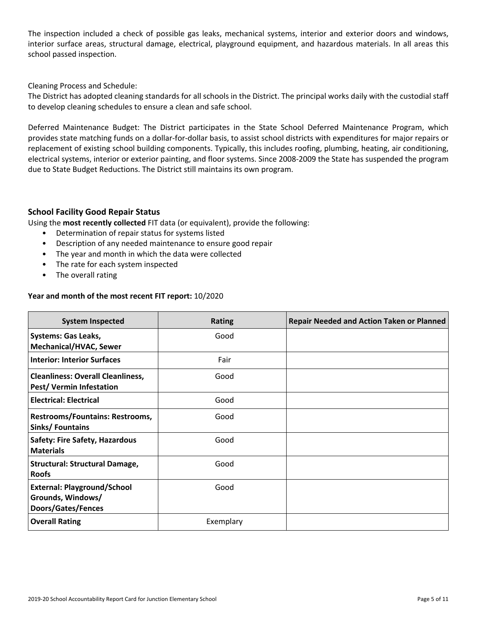The inspection included a check of possible gas leaks, mechanical systems, interior and exterior doors and windows, interior surface areas, structural damage, electrical, playground equipment, and hazardous materials. In all areas this school passed inspection.

Cleaning Process and Schedule:

The District has adopted cleaning standards for all schools in the District. The principal works daily with the custodial staff to develop cleaning schedules to ensure a clean and safe school.

Deferred Maintenance Budget: The District participates in the State School Deferred Maintenance Program, which provides state matching funds on a dollar-for-dollar basis, to assist school districts with expenditures for major repairs or replacement of existing school building components. Typically, this includes roofing, plumbing, heating, air conditioning, electrical systems, interior or exterior painting, and floor systems. Since 2008-2009 the State has suspended the program due to State Budget Reductions. The District still maintains its own program.

## **School Facility Good Repair Status**

Using the **most recently collected** FIT data (or equivalent), provide the following:

- Determination of repair status for systems listed
- Description of any needed maintenance to ensure good repair
- The year and month in which the data were collected
- The rate for each system inspected
- The overall rating

#### **Year and month of the most recent FIT report:** 10/2020

| <b>System Inspected</b>                                                              | <b>Rating</b> | <b>Repair Needed and Action Taken or Planned</b> |
|--------------------------------------------------------------------------------------|---------------|--------------------------------------------------|
| <b>Systems: Gas Leaks,</b><br><b>Mechanical/HVAC, Sewer</b>                          | Good          |                                                  |
| <b>Interior: Interior Surfaces</b>                                                   | Fair          |                                                  |
| <b>Cleanliness: Overall Cleanliness,</b><br>Pest/ Vermin Infestation                 | Good          |                                                  |
| <b>Electrical: Electrical</b>                                                        | Good          |                                                  |
| <b>Restrooms/Fountains: Restrooms,</b><br>Sinks/Fountains                            | Good          |                                                  |
| <b>Safety: Fire Safety, Hazardous</b><br><b>Materials</b>                            | Good          |                                                  |
| <b>Structural: Structural Damage,</b><br><b>Roofs</b>                                | Good          |                                                  |
| <b>External: Playground/School</b><br>Grounds, Windows/<br><b>Doors/Gates/Fences</b> | Good          |                                                  |
| <b>Overall Rating</b>                                                                | Exemplary     |                                                  |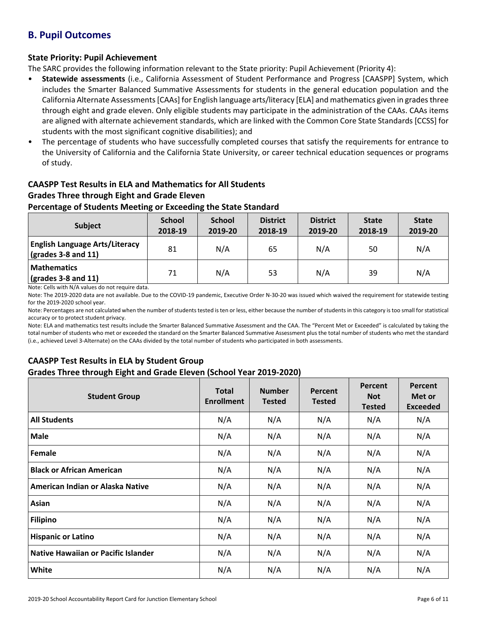# **B. Pupil Outcomes**

## **State Priority: Pupil Achievement**

The SARC provides the following information relevant to the State priority: Pupil Achievement (Priority 4):

- **Statewide assessments** (i.e., California Assessment of Student Performance and Progress [CAASPP] System, which includes the Smarter Balanced Summative Assessments for students in the general education population and the California Alternate Assessments [CAAs] for English language arts/literacy [ELA] and mathematics given in grades three through eight and grade eleven. Only eligible students may participate in the administration of the CAAs. CAAs items are aligned with alternate achievement standards, which are linked with the Common Core State Standards [CCSS] for students with the most significant cognitive disabilities); and
- The percentage of students who have successfully completed courses that satisfy the requirements for entrance to the University of California and the California State University, or career technical education sequences or programs of study.

## **CAASPP Test Results in ELA and Mathematics for All Students Grades Three through Eight and Grade Eleven**

## **Percentage of Students Meeting or Exceeding the State Standard**

| <b>Subject</b>                                                             | <b>School</b><br>2018-19 | <b>School</b><br>2019-20 | <b>District</b><br>2018-19 | <b>District</b><br>2019-20 | <b>State</b><br>2018-19 | <b>State</b><br>2019-20 |
|----------------------------------------------------------------------------|--------------------------|--------------------------|----------------------------|----------------------------|-------------------------|-------------------------|
| <b>English Language Arts/Literacy</b><br>$\frac{1}{2}$ (grades 3-8 and 11) | 81                       | N/A                      | 65                         | N/A                        | 50                      | N/A                     |
| <b>Mathematics</b><br>$\sqrt{grades}$ 3-8 and 11)                          | 71                       | N/A                      | 53                         | N/A                        | 39                      | N/A                     |

Note: Cells with N/A values do not require data.

Note: The 2019-2020 data are not available. Due to the COVID-19 pandemic, Executive Order N-30-20 was issued which waived the requirement for statewide testing for the 2019-2020 school year.

Note: Percentages are not calculated when the number of students tested is ten or less, either because the number of students in this category is too small for statistical accuracy or to protect student privacy.

Note: ELA and mathematics test results include the Smarter Balanced Summative Assessment and the CAA. The "Percent Met or Exceeded" is calculated by taking the total number of students who met or exceeded the standard on the Smarter Balanced Summative Assessment plus the total number of students who met the standard (i.e., achieved Level 3-Alternate) on the CAAs divided by the total number of students who participated in both assessments.

## **CAASPP Test Results in ELA by Student Group Grades Three through Eight and Grade Eleven (School Year 2019-2020)**

| <b>Student Group</b>                       | <b>Total</b><br><b>Enrollment</b> | <b>Number</b><br><b>Tested</b> | Percent<br><b>Tested</b> | Percent<br><b>Not</b><br><b>Tested</b> | Percent<br>Met or<br><b>Exceeded</b> |
|--------------------------------------------|-----------------------------------|--------------------------------|--------------------------|----------------------------------------|--------------------------------------|
| <b>All Students</b>                        | N/A                               | N/A                            | N/A                      | N/A                                    | N/A                                  |
| <b>Male</b>                                | N/A                               | N/A                            | N/A                      | N/A                                    | N/A                                  |
| Female                                     | N/A                               | N/A                            | N/A                      | N/A                                    | N/A                                  |
| <b>Black or African American</b>           | N/A                               | N/A                            | N/A                      | N/A                                    | N/A                                  |
| American Indian or Alaska Native           | N/A                               | N/A                            | N/A                      | N/A                                    | N/A                                  |
| Asian                                      | N/A                               | N/A                            | N/A                      | N/A                                    | N/A                                  |
| <b>Filipino</b>                            | N/A                               | N/A                            | N/A                      | N/A                                    | N/A                                  |
| <b>Hispanic or Latino</b>                  | N/A                               | N/A                            | N/A                      | N/A                                    | N/A                                  |
| <b>Native Hawaiian or Pacific Islander</b> | N/A                               | N/A                            | N/A                      | N/A                                    | N/A                                  |
| White                                      | N/A                               | N/A                            | N/A                      | N/A                                    | N/A                                  |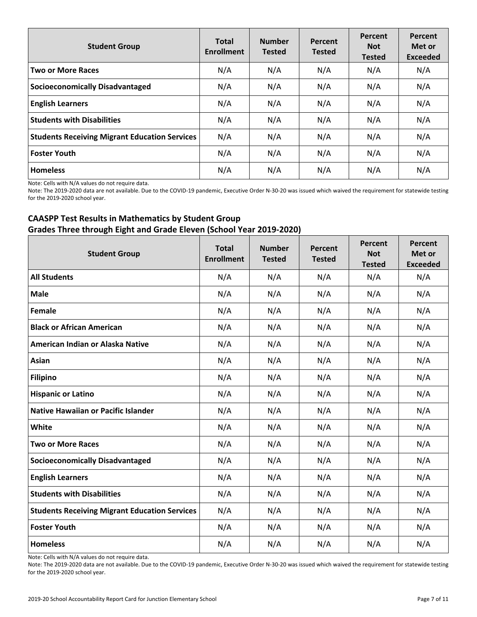| <b>Student Group</b>                                 | <b>Total</b><br><b>Enrollment</b> | <b>Number</b><br><b>Tested</b> | Percent<br><b>Tested</b> | Percent<br><b>Not</b><br><b>Tested</b> | Percent<br>Met or<br><b>Exceeded</b> |
|------------------------------------------------------|-----------------------------------|--------------------------------|--------------------------|----------------------------------------|--------------------------------------|
| <b>Two or More Races</b>                             | N/A                               | N/A                            | N/A                      | N/A                                    | N/A                                  |
| <b>Socioeconomically Disadvantaged</b>               | N/A                               | N/A                            | N/A                      | N/A                                    | N/A                                  |
| <b>English Learners</b>                              | N/A                               | N/A                            | N/A                      | N/A                                    | N/A                                  |
| <b>Students with Disabilities</b>                    | N/A                               | N/A                            | N/A                      | N/A                                    | N/A                                  |
| <b>Students Receiving Migrant Education Services</b> | N/A                               | N/A                            | N/A                      | N/A                                    | N/A                                  |
| <b>Foster Youth</b>                                  | N/A                               | N/A                            | N/A                      | N/A                                    | N/A                                  |
| <b>Homeless</b>                                      | N/A                               | N/A                            | N/A                      | N/A                                    | N/A                                  |

Note: Cells with N/A values do not require data.

Note: The 2019-2020 data are not available. Due to the COVID-19 pandemic, Executive Order N-30-20 was issued which waived the requirement for statewide testing for the 2019-2020 school year.

## **CAASPP Test Results in Mathematics by Student Group Grades Three through Eight and Grade Eleven (School Year 2019-2020)**

| <b>Student Group</b>                                 | <b>Total</b><br><b>Enrollment</b> | <b>Number</b><br><b>Tested</b> | Percent<br><b>Tested</b> | Percent<br><b>Not</b><br><b>Tested</b> | Percent<br>Met or<br><b>Exceeded</b> |
|------------------------------------------------------|-----------------------------------|--------------------------------|--------------------------|----------------------------------------|--------------------------------------|
| <b>All Students</b>                                  | N/A                               | N/A                            | N/A                      | N/A                                    | N/A                                  |
| <b>Male</b>                                          | N/A                               | N/A                            | N/A                      | N/A                                    | N/A                                  |
| Female                                               | N/A                               | N/A                            | N/A                      | N/A                                    | N/A                                  |
| <b>Black or African American</b>                     | N/A                               | N/A                            | N/A                      | N/A                                    | N/A                                  |
| American Indian or Alaska Native                     | N/A                               | N/A                            | N/A                      | N/A                                    | N/A                                  |
| Asian                                                | N/A                               | N/A                            | N/A                      | N/A                                    | N/A                                  |
| <b>Filipino</b>                                      | N/A                               | N/A                            | N/A                      | N/A                                    | N/A                                  |
| <b>Hispanic or Latino</b>                            | N/A                               | N/A                            | N/A                      | N/A                                    | N/A                                  |
| <b>Native Hawaiian or Pacific Islander</b>           | N/A                               | N/A                            | N/A                      | N/A                                    | N/A                                  |
| White                                                | N/A                               | N/A                            | N/A                      | N/A                                    | N/A                                  |
| <b>Two or More Races</b>                             | N/A                               | N/A                            | N/A                      | N/A                                    | N/A                                  |
| <b>Socioeconomically Disadvantaged</b>               | N/A                               | N/A                            | N/A                      | N/A                                    | N/A                                  |
| <b>English Learners</b>                              | N/A                               | N/A                            | N/A                      | N/A                                    | N/A                                  |
| <b>Students with Disabilities</b>                    | N/A                               | N/A                            | N/A                      | N/A                                    | N/A                                  |
| <b>Students Receiving Migrant Education Services</b> | N/A                               | N/A                            | N/A                      | N/A                                    | N/A                                  |
| <b>Foster Youth</b>                                  | N/A                               | N/A                            | N/A                      | N/A                                    | N/A                                  |
| <b>Homeless</b>                                      | N/A                               | N/A                            | N/A                      | N/A                                    | N/A                                  |

Note: Cells with N/A values do not require data.

Note: The 2019-2020 data are not available. Due to the COVID-19 pandemic, Executive Order N-30-20 was issued which waived the requirement for statewide testing for the 2019-2020 school year.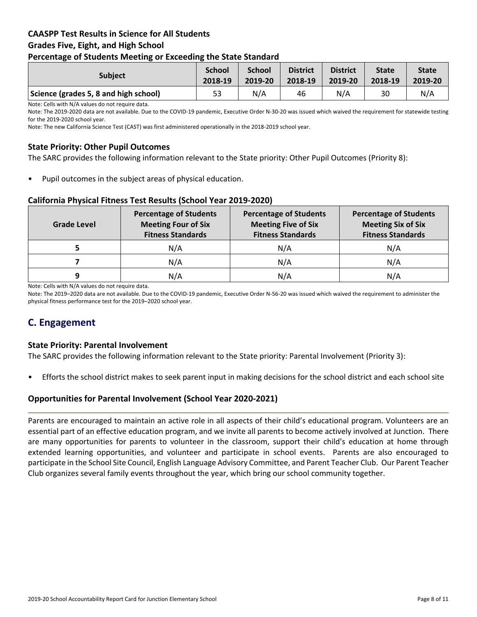## **CAASPP Test Results in Science for All Students Grades Five, Eight, and High School Percentage of Students Meeting or Exceeding the State Standard**

| . .                                   |                          |                          |                            |                            |                         |                         |
|---------------------------------------|--------------------------|--------------------------|----------------------------|----------------------------|-------------------------|-------------------------|
| <b>Subject</b>                        | <b>School</b><br>2018-19 | <b>School</b><br>2019-20 | <b>District</b><br>2018-19 | <b>District</b><br>2019-20 | <b>State</b><br>2018-19 | <b>State</b><br>2019-20 |
| Science (grades 5, 8 and high school) | 53                       | N/A                      | 46                         | N/A                        | 30                      | N/A                     |

Note: Cells with N/A values do not require data.

Note: The 2019-2020 data are not available. Due to the COVID-19 pandemic, Executive Order N-30-20 was issued which waived the requirement for statewide testing for the 2019-2020 school year.

Note: The new California Science Test (CAST) was first administered operationally in the 2018-2019 school year.

## **State Priority: Other Pupil Outcomes**

The SARC provides the following information relevant to the State priority: Other Pupil Outcomes (Priority 8):

Pupil outcomes in the subject areas of physical education.

## **California Physical Fitness Test Results (School Year 2019-2020)**

| Grade Level | <b>Percentage of Students</b><br><b>Meeting Four of Six</b><br><b>Fitness Standards</b> | <b>Percentage of Students</b><br><b>Meeting Five of Six</b><br><b>Fitness Standards</b> | <b>Percentage of Students</b><br><b>Meeting Six of Six</b><br><b>Fitness Standards</b> |  |
|-------------|-----------------------------------------------------------------------------------------|-----------------------------------------------------------------------------------------|----------------------------------------------------------------------------------------|--|
|             | N/A                                                                                     | N/A                                                                                     | N/A                                                                                    |  |
|             | N/A                                                                                     | N/A                                                                                     | N/A                                                                                    |  |
| q           | N/A                                                                                     | N/A                                                                                     | N/A                                                                                    |  |

Note: Cells with N/A values do not require data.

Note: The 2019–2020 data are not available. Due to the COVID-19 pandemic, Executive Order N-56-20 was issued which waived the requirement to administer the physical fitness performance test for the 2019–2020 school year.

## **C. Engagement**

## **State Priority: Parental Involvement**

The SARC provides the following information relevant to the State priority: Parental Involvement (Priority 3):

• Efforts the school district makes to seek parent input in making decisions for the school district and each school site

## **Opportunities for Parental Involvement (School Year 2020-2021)**

Parents are encouraged to maintain an active role in all aspects of their child's educational program. Volunteers are an essential part of an effective education program, and we invite all parents to become actively involved at Junction. There are many opportunities for parents to volunteer in the classroom, support their child's education at home through extended learning opportunities, and volunteer and participate in school events. Parents are also encouraged to participate in the School Site Council, English Language Advisory Committee, and Parent Teacher Club. Our Parent Teacher Club organizes several family events throughout the year, which bring our school community together.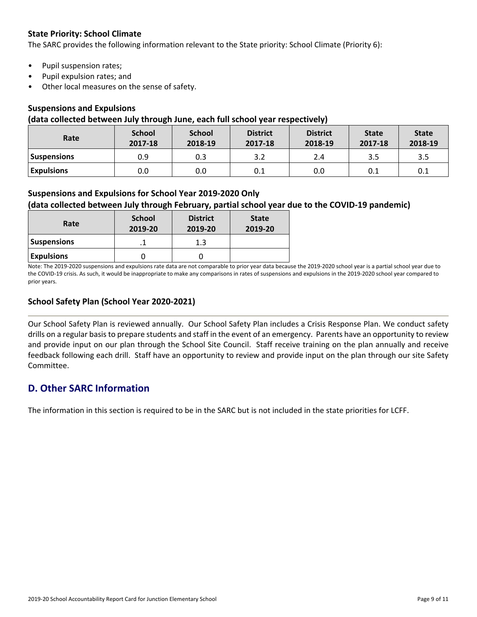## **State Priority: School Climate**

The SARC provides the following information relevant to the State priority: School Climate (Priority 6):

- Pupil suspension rates;
- Pupil expulsion rates; and
- Other local measures on the sense of safety.

## **Suspensions and Expulsions**

#### **(data collected between July through June, each full school year respectively)**

| Rate               | <b>School</b><br>2017-18 | <b>School</b><br>2018-19 | <b>District</b><br>2017-18 | <b>District</b><br>2018-19 | <b>State</b><br>2017-18 | <b>State</b><br>2018-19 |
|--------------------|--------------------------|--------------------------|----------------------------|----------------------------|-------------------------|-------------------------|
| <b>Suspensions</b> | 0.9                      | 0.3                      |                            | 2.4                        | 3.5                     | 3.5                     |
| <b>Expulsions</b>  | 0.0                      | 0.0                      | 0.1                        | 0.0                        | 0.1                     | 0.1                     |

## **Suspensions and Expulsions for School Year 2019-2020 Only**

## **(data collected between July through February, partial school year due to the COVID-19 pandemic)**

| Rate               | <b>School</b><br>2019-20 | <b>District</b><br>2019-20 | <b>State</b><br>2019-20 |
|--------------------|--------------------------|----------------------------|-------------------------|
| <b>Suspensions</b> |                          | 1.3                        |                         |
| <b>Expulsions</b>  |                          |                            |                         |

Note: The 2019-2020 suspensions and expulsions rate data are not comparable to prior year data because the 2019-2020 school year is a partial school year due to the COVID-19 crisis. As such, it would be inappropriate to make any comparisons in rates of suspensions and expulsions in the 2019-2020 school year compared to prior years.

## **School Safety Plan (School Year 2020-2021)**

Our School Safety Plan is reviewed annually. Our School Safety Plan includes a Crisis Response Plan. We conduct safety drills on a regular basisto prepare students and staff in the event of an emergency. Parents have an opportunity to review and provide input on our plan through the School Site Council. Staff receive training on the plan annually and receive feedback following each drill. Staff have an opportunity to review and provide input on the plan through our site Safety Committee.

## **D. Other SARC Information**

The information in this section is required to be in the SARC but is not included in the state priorities for LCFF.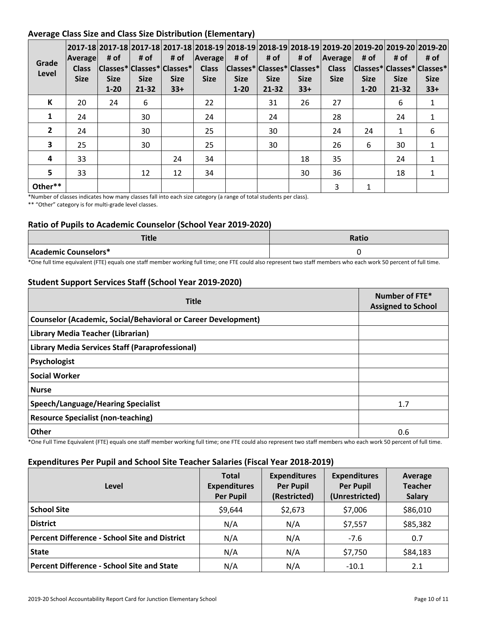## **Average Class Size and Class Size Distribution (Elementary)**

| Grade<br>Level | Average<br><b>Class</b><br><b>Size</b> | # of<br><b>Size</b><br>$1 - 20$ | # of<br> Classes* Classes* Classes* <br><b>Size</b><br>$21 - 32$ | # of<br><b>Size</b><br>$33+$ | Average <br><b>Class</b><br><b>Size</b> | 2017-18 2017-18 2017-18 2017-18 2018-19 2018-19 2018-19 2018-19 2019-20 2019-20 2019-20 2019-20 2019-20<br># of<br> Classes* Classes* Classes* <br><b>Size</b><br>$1 - 20$ | # of<br><b>Size</b><br>21-32 | # of<br><b>Size</b><br>$33+$ | Average<br><b>Class</b><br><b>Size</b> | # of<br> Classes* Classes* Classes*<br><b>Size</b><br>$1 - 20$ | # of<br><b>Size</b><br>21-32 | # of<br><b>Size</b><br>$33+$ |
|----------------|----------------------------------------|---------------------------------|------------------------------------------------------------------|------------------------------|-----------------------------------------|----------------------------------------------------------------------------------------------------------------------------------------------------------------------------|------------------------------|------------------------------|----------------------------------------|----------------------------------------------------------------|------------------------------|------------------------------|
| К              | 20                                     | 24                              | 6                                                                |                              | 22                                      |                                                                                                                                                                            | 31                           | 26                           | 27                                     |                                                                | 6                            | $\mathbf{1}$                 |
|                | 24                                     |                                 | 30                                                               |                              | 24                                      |                                                                                                                                                                            | 24                           |                              | 28                                     |                                                                | 24                           | $\mathbf{1}$                 |
| $\mathbf{2}$   | 24                                     |                                 | 30                                                               |                              | 25                                      |                                                                                                                                                                            | 30                           |                              | 24                                     | 24                                                             | $\mathbf{1}$                 | 6                            |
| 3              | 25                                     |                                 | 30                                                               |                              | 25                                      |                                                                                                                                                                            | 30                           |                              | 26                                     | 6                                                              | 30                           | 1                            |
| 4              | 33                                     |                                 |                                                                  | 24                           | 34                                      |                                                                                                                                                                            |                              | 18                           | 35                                     |                                                                | 24                           | 1                            |
| 5.             | 33                                     |                                 | 12                                                               | 12                           | 34                                      |                                                                                                                                                                            |                              | 30                           | 36                                     |                                                                | 18                           | $\mathbf{1}$                 |
| Other**        |                                        |                                 |                                                                  |                              |                                         |                                                                                                                                                                            |                              |                              | 3                                      | 1                                                              |                              |                              |

\*Number of classes indicates how many classes fall into each size category (a range of total students per class).

\*\* "Other" category is for multi-grade level classes.

## **Ratio of Pupils to Academic Counselor (School Year 2019-2020)**

| TH.<br>비니다           | Ratio |
|----------------------|-------|
| Academic Counselors* |       |

\*One full time equivalent (FTE) equals one staff member working full time; one FTE could also represent two staff members who each work 50 percent of full time.

## **Student Support Services Staff (School Year 2019-2020)**

| <b>Title</b>                                                         | Number of FTE*<br><b>Assigned to School</b> |
|----------------------------------------------------------------------|---------------------------------------------|
| <b>Counselor (Academic, Social/Behavioral or Career Development)</b> |                                             |
| Library Media Teacher (Librarian)                                    |                                             |
| Library Media Services Staff (Paraprofessional)                      |                                             |
| Psychologist                                                         |                                             |
| <b>Social Worker</b>                                                 |                                             |
| <b>Nurse</b>                                                         |                                             |
| <b>Speech/Language/Hearing Specialist</b>                            | 1.7                                         |
| <b>Resource Specialist (non-teaching)</b>                            |                                             |
| <b>Other</b>                                                         | 0.6                                         |

\*One Full Time Equivalent (FTE) equals one staff member working full time; one FTE could also represent two staff members who each work 50 percent of full time.

## **Expenditures Per Pupil and School Site Teacher Salaries (Fiscal Year 2018-2019)**

| Level                                                | <b>Total</b><br><b>Expenditures</b><br><b>Per Pupil</b> | <b>Expenditures</b><br><b>Per Pupil</b><br>(Restricted) | <b>Expenditures</b><br><b>Per Pupil</b><br>(Unrestricted) | Average<br><b>Teacher</b><br><b>Salary</b> |
|------------------------------------------------------|---------------------------------------------------------|---------------------------------------------------------|-----------------------------------------------------------|--------------------------------------------|
| <b>School Site</b>                                   | \$9,644                                                 | \$2,673                                                 | \$7,006                                                   | \$86,010                                   |
| <b>District</b>                                      | N/A                                                     | N/A                                                     | \$7,557                                                   | \$85,382                                   |
| <b>Percent Difference - School Site and District</b> | N/A                                                     | N/A                                                     | $-7.6$                                                    | 0.7                                        |
| <b>State</b>                                         | N/A                                                     | N/A                                                     | \$7,750                                                   | \$84,183                                   |
| <b>Percent Difference - School Site and State</b>    | N/A                                                     | N/A                                                     | $-10.1$                                                   | 2.1                                        |